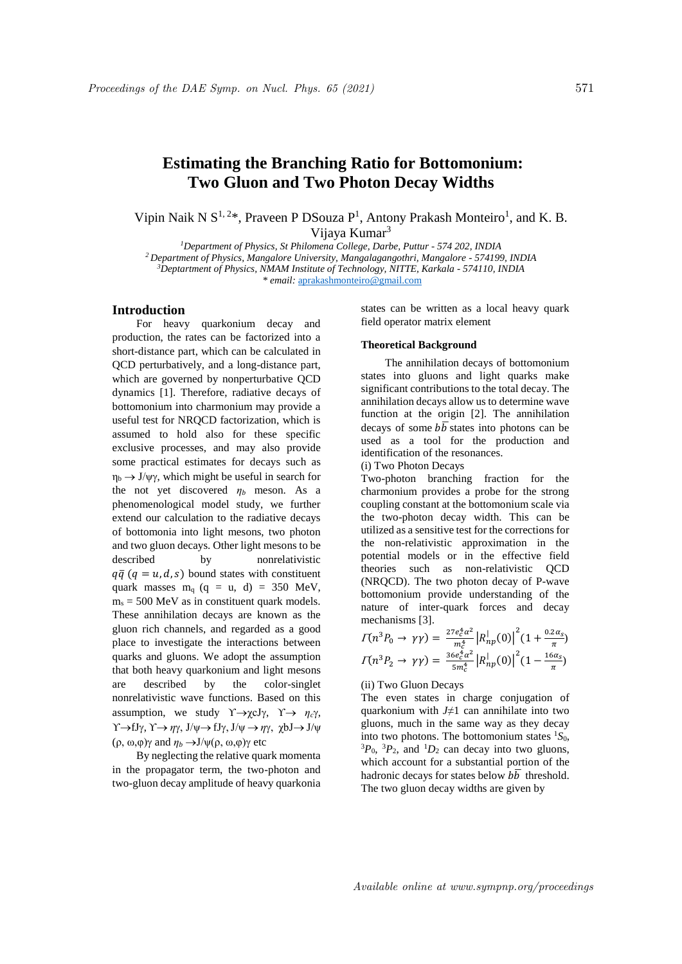# **Estimating the Branching Ratio for Bottomonium: Two Gluon and Two Photon Decay Widths**

Vipin Naik N  $S^{1,2*}$ , Praveen P DSouza  $P^1$ , Antony Prakash Monteiro<sup>1</sup>, and K. B. Vijaya Kumar<sup>3</sup>

*Department of Physics, St Philomena College, Darbe, Puttur - 574 202, INDIA Department of Physics, Mangalore University, Mangalagangothri, Mangalore - 574199, INDIA Deptartment of Physics, NMAM Institute of Technology, NITTE, Karkala - 574110, INDIA \* email:* aprakashmonteiro@gmail.com

## **Introduction**

For heavy quarkonium decay and production, the rates can be factorized into a short-distance part, which can be calculated in QCD perturbatively, and a long-distance part, which are governed by nonperturbative QCD dynamics [1]. Therefore, radiative decays of bottomonium into charmonium may provide a useful test for NRQCD factorization, which is assumed to hold also for these specific exclusive processes, and may also provide some practical estimates for decays such as  $\eta_b \rightarrow J/\psi \gamma$ , which might be useful in search for the not yet discovered  $\eta_b$  meson. As a phenomenological model study, we further extend our calculation to the radiative decays of bottomonia into light mesons, two photon and two gluon decays. Other light mesons to be described by nonrelativistic  $q\bar{q}$  ( $q = u, d, s$ ) bound states with constituent quark masses  $m_q$  (q = u, d) = 350 MeV,  $m_s = 500$  MeV as in constituent quark models. These annihilation decays are known as the gluon rich channels, and regarded as a good place to investigate the interactions between quarks and gluons. We adopt the assumption that both heavy quarkonium and light mesons are described by the color-singlet nonrelativistic wave functions. Based on this assumption, we study  $\Upsilon \rightarrow \chi cJ\gamma$ ,  $\Upsilon \rightarrow \eta_c \gamma$ ,  $\Upsilon \rightarrow fJ\gamma$ ,  $\Upsilon \rightarrow \eta \gamma$ ,  $J/\psi \rightarrow fJ\gamma$ ,  $J/\psi \rightarrow \eta \gamma$ ,  $\chi bJ \rightarrow J/\psi$ (ρ, ω,φ)γ and  $η_b \rightarrow J/\psi(ρ, ω, φ)$ γ etc

By neglecting the relative quark momenta in the propagator term, the two-photon and two-gluon decay amplitude of heavy quarkonia states can be written as a local heavy quark field operator matrix element

## **Theoretical Background**

The annihilation decays of bottomonium states into gluons and light quarks make significant contributions to the total decay. The annihilation decays allow us to determine wave function at the origin [2]. The annihilation decays of some  $b\overline{b}$  states into photons can be used as a tool for the production and identification of the resonances.

(i) Two Photon Decays

Two-photon branching fraction for the charmonium provides a probe for the strong coupling constant at the bottomonium scale via the two-photon decay width. This can be utilized as a sensitive test for the corrections for the non-relativistic approximation in the potential models or in the effective field theories such as non-relativistic QCD (NRQCD). The two photon decay of P-wave bottomonium provide understanding of the nature of inter-quark forces and decay mechanisms [3].

$$
\Pi(n^3 P_0 \to \gamma \gamma) = \frac{27 e_c^4 \alpha^2}{m_c^4} |R_{np}^{\dagger}(0)|^2 (1 + \frac{0.2 \alpha_S}{\pi})
$$
  

$$
\Pi(n^3 P_2 \to \gamma \gamma) = \frac{36 e_c^4 \alpha^2}{5 m_c^4} |R_{np}^{\dagger}(0)|^2 (1 - \frac{16 \alpha_S}{\pi})
$$

(ii) Two Gluon Decays

The even states in charge conjugation of quarkonium with *J≠*1 can annihilate into two gluons, much in the same way as they decay into two photons. The bottomonium states  ${}^{1}S_{0}$ ,  ${}^{3}P_0$ ,  ${}^{3}P_2$ , and  ${}^{1}D_2$  can decay into two gluons, which account for a substantial portion of the hadronic decays for states below  $b\overline{b}$  threshold. The two gluon decay widths are given by